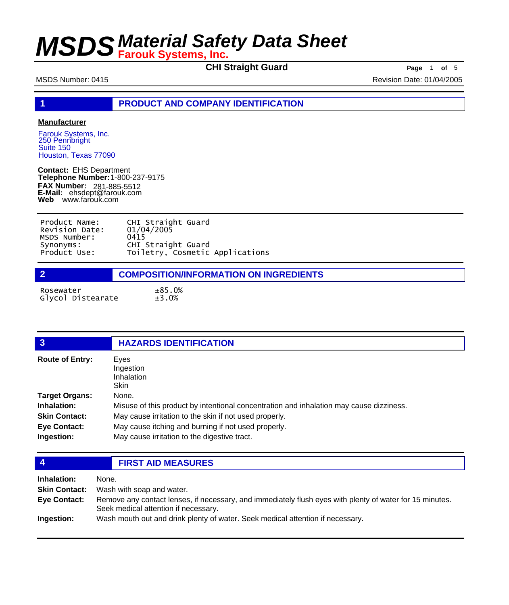**CHI Straight Guard Page** 1 **of** 5

MSDS Number: 0415 Revision Date: 01/04/2005

**1 PRODUCT AND COMPANY IDENTIFICATION**

#### **Manufacturer**

Farouk Systems, Inc. 250 Pennbright Suite 150 Houston, Texas 77090

**Contact:** EHS Department **Telephone Number:** 1-800-237-9175 **FAX Number: FAX Number:** 281-885-5512<br>**E-Mail:** ehsdept@farouk.com **Web** www.farouk.com

| Product Name:  | CHI Straight Guard              |
|----------------|---------------------------------|
| Revision Date: | 01/04/2005                      |
| MSDS Number:   | 0415                            |
| Synonyms:      | CHI Straight Guard              |
| Product Use:   | Toiletry, Cosmetic Applications |



Rosewater ±85.0% Glycol Distearate

| $\overline{3}$         | <b>HAZARDS IDENTIFICATION</b>                                                           |
|------------------------|-----------------------------------------------------------------------------------------|
| <b>Route of Entry:</b> | Eves<br>Ingestion<br>Inhalation<br><b>Skin</b>                                          |
| <b>Target Organs:</b>  | None.                                                                                   |
| Inhalation:            | Misuse of this product by intentional concentration and inhalation may cause dizziness. |
| <b>Skin Contact:</b>   | May cause irritation to the skin if not used properly.                                  |
| <b>Eye Contact:</b>    | May cause itching and burning if not used properly.                                     |
| Ingestion:             | May cause irritation to the digestive tract.                                            |

**4 FIRST AID MEASURES**

| Inhalation:          | None.                                                                                                                                            |
|----------------------|--------------------------------------------------------------------------------------------------------------------------------------------------|
| <b>Skin Contact:</b> | Wash with soap and water.                                                                                                                        |
| <b>Eve Contact:</b>  | Remove any contact lenses, if necessary, and immediately flush eyes with plenty of water for 15 minutes.<br>Seek medical attention if necessary. |
| Ingestion:           | Wash mouth out and drink plenty of water. Seek medical attention if necessary.                                                                   |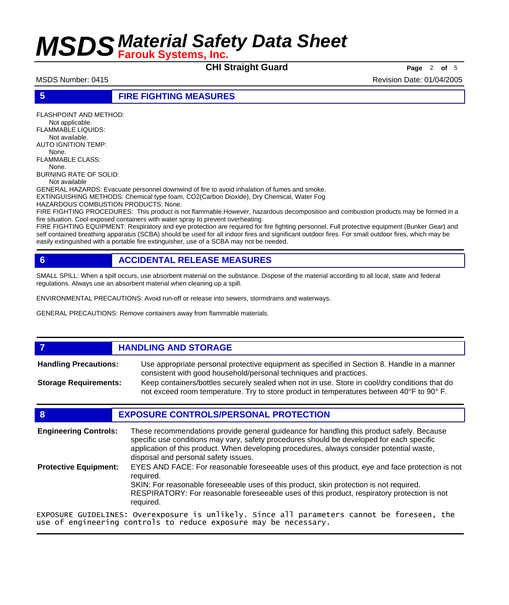**CHI Straight Guard Page** 2 of 5

MSDS Number: 0415 Revision Date: 01/04/2005

**5 FIRE FIGHTING MEASURES**

FLASHPOINT AND METHOD: Not applicable. FLAMMABLE LIQUIDS: Not available. AUTO IGNITION TEMP: None. FLAMMABLE CLASS: None. BURNING RATE OF SOLID: Not available GENERAL HAZARDS: Evacuate personnel downwind of fire to avoid inhalation of fumes and smoke. EXTINGUISHING METHODS: Chemical type foam, CO2(Carbon Dioxide), Dry Chemical, Water Fog HAZARDOUS COMBUSTION PRODUCTS: None.

FIRE FIGHTING PROCEDURES: This product is not flammable.However, hazardous decomposition and combustion products may be formed in a fire situation. Cool exposed containers with water spray to prevent overheating.

FIRE FIGHTING EQUIPMENT: Respiratory and eye protection are required for fire fighting personnel. Full protective equipment (Bunker Gear) and self contained breathing apparatus (SCBA) should be used for all indoor fires and significant outdoor fires. For small outdoor fires, which may be easily extinguished with a portable fire extinguisher, use of a SCBA may not be needed.

## **6 ACCIDENTAL RELEASE MEASURES**

SMALL SPILL: When a spill occurs, use absorbent material on the substance. Dispose of the material according to all local, state and federal regulations. Always use an absorbent material when cleaning up a spill.

ENVIRONMENTAL PRECAUTIONS: Avoid run-off or release into sewers, stormdrains and waterways.

GENERAL PRECAUTIONS: Remove containers away from flammable materials.

### *HANDLING AND STORAGE*

Use appropriate personal protective equipment as specified in Section 8. Handle in a manner consistent with good household/personal techniques and practices. **Handling Precautions:** Keep containers/bottles securely sealed when not in use. Store in cool/dry conditions that do **Storage Requirements:**

not exceed room temperature. Try to store product in temperatures between 40°F to 90° F.

### **8 EXPOSURE CONTROLS/PERSONAL PROTECTION**

These recommendations provide general guideance for handling this product safely. Because specific use conditions may vary, safety procedures should be developed for each specific application of this product. When developing procedures, always consider potential waste, disposal and personal safety issues. **Engineering Controls:** EYES AND FACE: For reasonable foreseeable uses of this product, eye and face protection is not required. SKIN: For reasonable foreseeable uses of this product, skin protection is not required. RESPIRATORY: For reasonable foreseeable uses of this product, respiratory protection is not required. **Protective Equipment:** EXPOSURE GUIDELINES: Overexposure is unlikely. Since all parameters cannot be foreseen, the

use of engineering controls to reduce exposure may be necessary.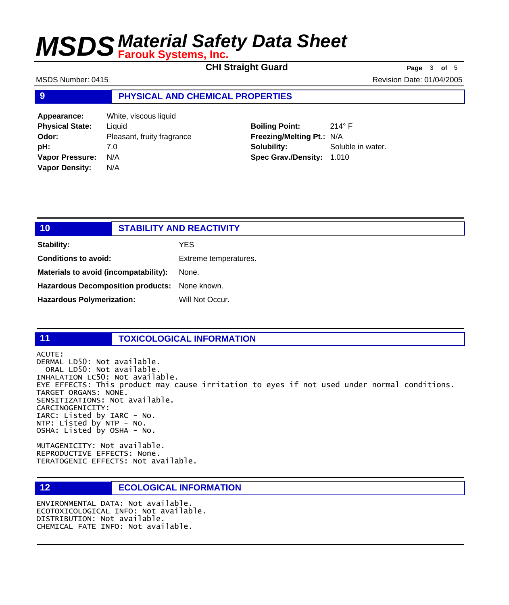**CHI Straight Guard Page** 3 of 5

MSDS Number: 0415 **Revision Date: 01/04/2005** Revision Date: 01/04/2005

### **9 PHYSICAL AND CHEMICAL PROPERTIES**

**Appearance:** White, viscous liquid **Physical State:** Liquid **Odor:** Pleasant, fruity fragrance **pH:** 7.0 **Vapor Pressure:** N/A **Vapor Density:** N/A

## **Boiling Point:** 214° F **Freezing/Melting Pt.:** N/A **Solubility:** Soluble in water.

**Spec Grav./Density:** 1.010

| 10                                            | <b>STABILITY AND REACTIVITY</b> |
|-----------------------------------------------|---------------------------------|
| <b>Stability:</b>                             | <b>YES</b>                      |
| <b>Conditions to avoid:</b>                   | Extreme temperatures.           |
| Materials to avoid (incompatability):         | None.                           |
| Hazardous Decomposition products: None known. |                                 |
| <b>Hazardous Polymerization:</b>              | Will Not Occur.                 |

### **11 TOXICOLOGICAL INFORMATION**

ACUTE: DERMAL LD50: Not available. ORAL LD50: Not available. INHALATION LC50: Not available. EYE EFFECTS: This product may cause irritation to eyes if not used under normal conditions. TARGET ORGANS: NONE. SENSITIZATIONS: Not available. CARCINOGENICITY: IARC: Listed by IARC - No. NTP: Listed by NTP - No. OSHA: Listed by OSHA - No.

MUTAGENICITY: Not available. REPRODUCTIVE EFFECTS: None. TERATOGENIC EFFECTS: Not available.

### **12 ECOLOGICAL INFORMATION**

ENVIRONMENTAL DATA: Not available. ECOTOXICOLOGICAL INFO: Not available. DISTRIBUTION: Not available. CHEMICAL FATE INFO: Not available.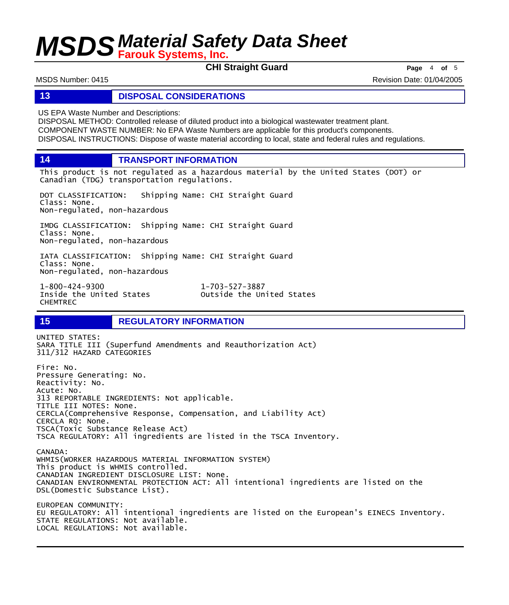**CHI Straight Guard Page** <sup>4</sup> **of** <sup>5</sup>

MSDS Number: 0415 Revision Date: 01/04/2005

### **13 DISPOSAL CONSIDERATIONS**

US EPA Waste Number and Descriptions:

DISPOSAL METHOD: Controlled release of diluted product into a biological wastewater treatment plant. COMPONENT WASTE NUMBER: No EPA Waste Numbers are applicable for this product's components. DISPOSAL INSTRUCTIONS: Dispose of waste material according to local, state and federal rules and regulations.

**14 TRANSPORT INFORMATION**

This product is not regulated as a hazardous material by the United States (DOT) or Canadian (TDG) transportation regulations.

DOT CLASSIFICATION: Shipping Name: CHI Straight Guard Class: None. Non-regulated, non-hazardous

IMDG CLASSIFICATION: Shipping Name: CHI Straight Guard Class: None. Non-regulated, non-hazardous

IATA CLASSIFICATION: Shipping Name: CHI Straight Guard Class: None. Non-regulated, non-hazardous

1-800-424-9300 1-703-527-3887 CHEMTREC

Outside the United States

### **15 REGULATORY INFORMATION**

UNITED STATES: SARA TITLE III (Superfund Amendments and Reauthorization Act) 311/312 HAZARD CATEGORIES Fire: No. Pressure Generating: No. Reactivity: No. Acute: No. 313 REPORTABLE INGREDIENTS: Not applicable. TITLE III NOTES: None. CERCLA(Comprehensive Response, Compensation, and Liability Act) CERCLA RQ: None. TSCA(Toxic Substance Release Act) TSCA REGULATORY: All ingredients are listed in the TSCA Inventory. CANADA: WHMIS(WORKER HAZARDOUS MATERIAL INFORMATION SYSTEM) This product is WHMIS controlled. CANADIAN INGREDIENT DISCLOSURE LIST: None. CANADIAN ENVIRONMENTAL PROTECTION ACT: All intentional ingredients are listed on the DSL(Domestic Substance List). EUROPEAN COMMUNITY: EU REGULATORY: All intentional ingredients are listed on the European's EINECS Inventory. STATE REGULATIONS: Not available. LOCAL REGULATIONS: Not available.